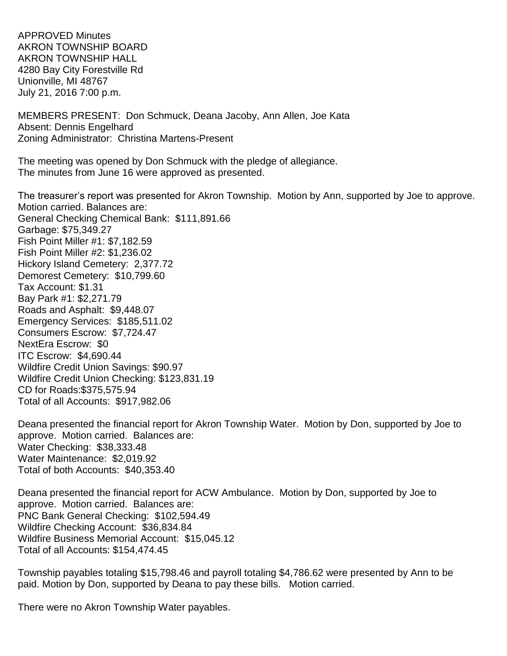APPROVED Minutes AKRON TOWNSHIP BOARD AKRON TOWNSHIP HALL 4280 Bay City Forestville Rd Unionville, MI 48767 July 21, 2016 7:00 p.m.

MEMBERS PRESENT: Don Schmuck, Deana Jacoby, Ann Allen, Joe Kata Absent: Dennis Engelhard Zoning Administrator: Christina Martens-Present

The meeting was opened by Don Schmuck with the pledge of allegiance. The minutes from June 16 were approved as presented.

The treasurer's report was presented for Akron Township. Motion by Ann, supported by Joe to approve. Motion carried. Balances are: General Checking Chemical Bank: \$111,891.66 Garbage: \$75,349.27 Fish Point Miller #1: \$7,182.59 Fish Point Miller #2: \$1,236.02 Hickory Island Cemetery: 2,377.72 Demorest Cemetery: \$10,799.60 Tax Account: \$1.31 Bay Park #1: \$2,271.79 Roads and Asphalt: \$9,448.07 Emergency Services: \$185,511.02 Consumers Escrow: \$7,724.47 NextEra Escrow: \$0 ITC Escrow: \$4,690.44 Wildfire Credit Union Savings: \$90.97 Wildfire Credit Union Checking: \$123,831.19 CD for Roads:\$375,575.94 Total of all Accounts: \$917,982.06

Deana presented the financial report for Akron Township Water. Motion by Don, supported by Joe to approve. Motion carried. Balances are: Water Checking: \$38,333.48 Water Maintenance: \$2,019.92 Total of both Accounts: \$40,353.40

Deana presented the financial report for ACW Ambulance. Motion by Don, supported by Joe to approve. Motion carried. Balances are: PNC Bank General Checking: \$102,594.49 Wildfire Checking Account: \$36,834.84 Wildfire Business Memorial Account: \$15,045.12 Total of all Accounts: \$154,474.45

Township payables totaling \$15,798.46 and payroll totaling \$4,786.62 were presented by Ann to be paid. Motion by Don, supported by Deana to pay these bills. Motion carried.

There were no Akron Township Water payables.